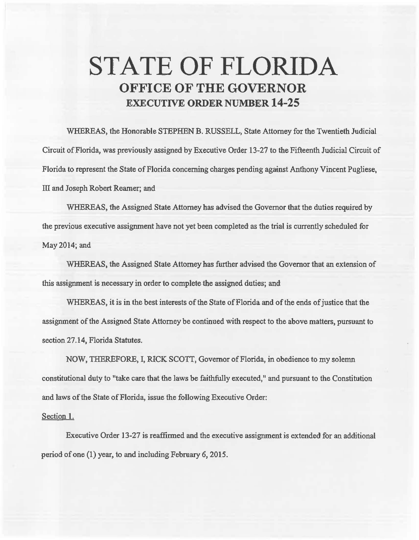## **STATE OF FLORIDA OFFICE OF THE GOVERNOR EXECUTIVE ORDER NUMBER 14-25**

WHEREAS, the Honorable STEPHEN B. RUSSELL, State Attorney for the Twentieth Judicial Circuit of Florida, was previously assigned by Executive Order 13-27 to the Fifteenth Judicial Circuit of Florida to represent the State of Florida concerning charges pending against Anthony Vincent Pugliese, III and Joseph Robert Reamer; and

WHEREAS, the Assigned State Attorney has advised the Governor that the duties required by the previous executive assignment have not yet been completed as the trial is currently scheduled for May2014; and

WHEREAS, the Assigned State Attorney has further advised the Governor that an extension of this assignment is necessary in order to complete the assigned duties; and

WHEREAS, it is in the best interests of the State of Florida and of the ends of justice that the assignment of the Assigned State Attorney be continued with respect to the above matters, pursuant to section 27.14, Florida Statutes.

NOW, THEREFORE, I, RICK SCOTT, Governor of Florida, in obedience to my solemn constitutional duty to "take care that the laws be faithfully executed," and pursuant to the Constitution and laws of the State of Florida, issue the following Executive Order:

## Section 1.

Executive Order 13-27 is reaffirmed and the executive assignment is extended for an additional period of one (1) year, to and including February 6, 2015.